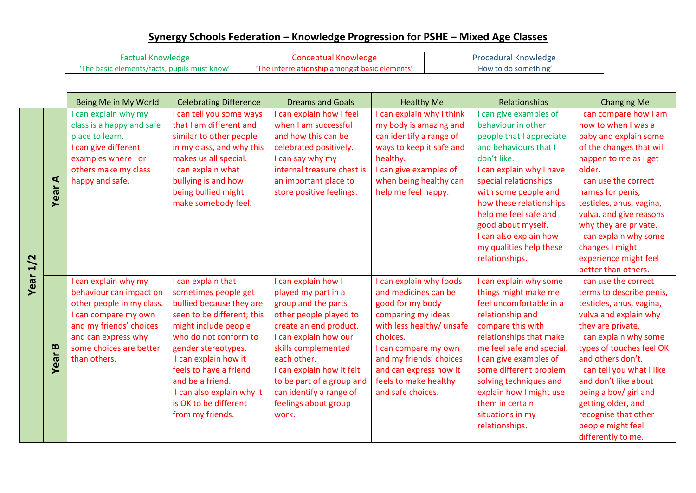|          |               | <b>Conceptual Knowledge</b><br><b>Factual Knowledge</b><br>'The basic elements/facts, pupils must know'<br>'The interrelationship amongst basic elements'                                         |                                                                                                                                                                                                                                                                                                                              | <b>Procedural Knowledge</b><br>'How to do something'                                                                                                                                                                                                                                                       |                                                                                                                                                                                                                                                               |  |                                                                                                                                                                                                                                                                                                                                                |                                                                                                                                                                                                                                                                                                                                                                                |
|----------|---------------|---------------------------------------------------------------------------------------------------------------------------------------------------------------------------------------------------|------------------------------------------------------------------------------------------------------------------------------------------------------------------------------------------------------------------------------------------------------------------------------------------------------------------------------|------------------------------------------------------------------------------------------------------------------------------------------------------------------------------------------------------------------------------------------------------------------------------------------------------------|---------------------------------------------------------------------------------------------------------------------------------------------------------------------------------------------------------------------------------------------------------------|--|------------------------------------------------------------------------------------------------------------------------------------------------------------------------------------------------------------------------------------------------------------------------------------------------------------------------------------------------|--------------------------------------------------------------------------------------------------------------------------------------------------------------------------------------------------------------------------------------------------------------------------------------------------------------------------------------------------------------------------------|
|          |               | Being Me in My World                                                                                                                                                                              | <b>Celebrating Difference</b>                                                                                                                                                                                                                                                                                                | <b>Dreams and Goals</b>                                                                                                                                                                                                                                                                                    | <b>Healthy Me</b>                                                                                                                                                                                                                                             |  | Relationships                                                                                                                                                                                                                                                                                                                                  | <b>Changing Me</b>                                                                                                                                                                                                                                                                                                                                                             |
|          | <b>Year A</b> | I can explain why my<br>class is a happy and safe<br>place to learn.<br>I can give different<br>examples where I or<br>others make my class<br>happy and safe.                                    | I can tell you some ways<br>that I am different and<br>similar to other people<br>in my class, and why this<br>makes us all special.<br>I can explain what<br>bullying is and how<br>being bullied might<br>make somebody feel.                                                                                              | I can explain how I feel<br>when I am successful<br>and how this can be<br>celebrated positively.<br>I can say why my<br>internal treasure chest is<br>an important place to<br>store positive feelings.                                                                                                   | I can explain why I think<br>my body is amazing and<br>can identify a range of<br>ways to keep it safe and<br>healthy.<br>I can give examples of<br>when being healthy can<br>help me feel happy.                                                             |  | I can give examples of<br>behaviour in other<br>people that I appreciate<br>and behaviours that I<br>don't like.<br>I can explain why I have<br>special relationships<br>with some people and<br>how these relationships<br>help me feel safe and<br>good about myself.<br>I can also explain how<br>my qualities help these<br>relationships. | I can compare how I am<br>now to when I was a<br>baby and explain some<br>of the changes that will<br>happen to me as I get<br>older.<br>I can use the correct<br>names for penis,<br>testicles, anus, vagina,<br>vulva, and give reasons<br>why they are private.<br>I can explain why some<br>changes I might<br>experience might feel<br>better than others.                |
| Year 1/2 | <b>Year B</b> | I can explain why my<br>behaviour can impact on<br>other people in my class.<br>I can compare my own<br>and my friends' choices<br>and can express why<br>some choices are better<br>than others. | I can explain that<br>sometimes people get<br>bullied because they are<br>seen to be different; this<br>might include people<br>who do not conform to<br>gender stereotypes.<br>I can explain how it<br>feels to have a friend<br>and be a friend.<br>I can also explain why it<br>is OK to be different<br>from my friends. | I can explain how I<br>played my part in a<br>group and the parts<br>other people played to<br>create an end product.<br>I can explain how our<br>skills complemented<br>each other.<br>I can explain how it felt<br>to be part of a group and<br>can identify a range of<br>feelings about group<br>work. | I can explain why foods<br>and medicines can be<br>good for my body<br>comparing my ideas<br>with less healthy/ unsafe<br>choices.<br>I can compare my own<br>and my friends' choices<br>and can express how it<br>feels to make healthy<br>and safe choices. |  | I can explain why some<br>things might make me<br>feel uncomfortable in a<br>relationship and<br>compare this with<br>relationships that make<br>me feel safe and special.<br>I can give examples of<br>some different problem<br>solving techniques and<br>explain how I might use<br>them in certain<br>situations in my<br>relationships.   | I can use the correct<br>terms to describe penis,<br>testicles, anus, vagina,<br>vulva and explain why<br>they are private.<br>I can explain why some<br>types of touches feel OK<br>and others don't.<br>I can tell you what I like<br>and don't like about<br>being a boy/ girl and<br>getting older, and<br>recognise that other<br>people might feel<br>differently to me. |

## **Synergy Schools Federation – Knowledge Progression for PSHE – Mixed Age Classes**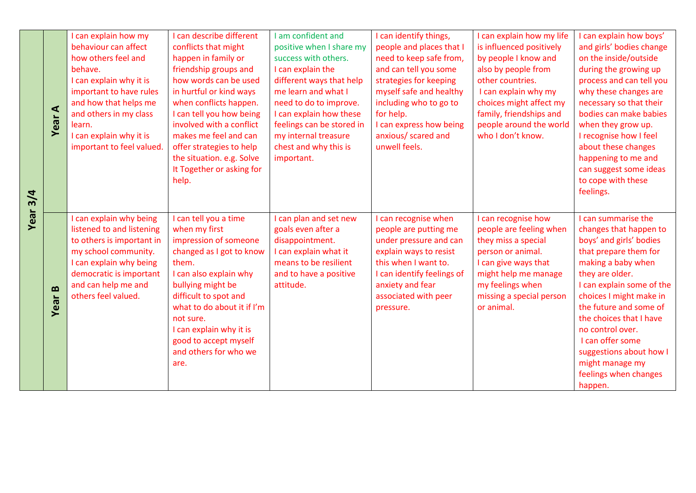| 3/4  | $\blacktriangleleft$<br><b>Year</b>       | I can explain how my<br>behaviour can affect<br>how others feel and<br>behave.<br>I can explain why it is<br>important to have rules<br>and how that helps me<br>and others in my class<br>learn.<br>I can explain why it is<br>important to feel valued. | I can describe different<br>conflicts that might<br>happen in family or<br>friendship groups and<br>how words can be used<br>in hurtful or kind ways<br>when conflicts happen.<br>I can tell you how being<br>involved with a conflict<br>makes me feel and can<br>offer strategies to help<br>the situation. e.g. Solve<br>It Together or asking for<br>help. | I am confident and<br>positive when I share my<br>success with others.<br>I can explain the<br>different ways that help<br>me learn and what I<br>need to do to improve.<br>I can explain how these<br>feelings can be stored in<br>my internal treasure<br>chest and why this is<br>important. | I can identify things,<br>people and places that I<br>need to keep safe from,<br>and can tell you some<br>strategies for keeping<br>myself safe and healthy<br>including who to go to<br>for help.<br>I can express how being<br>anxious/ scared and<br>unwell feels. | I can explain how my life<br>is influenced positively<br>by people I know and<br>also by people from<br>other countries.<br>I can explain why my<br>choices might affect my<br>family, friendships and<br>people around the world<br>who I don't know. | I can explain how boys'<br>and girls' bodies change<br>on the inside/outside<br>during the growing up<br>process and can tell you<br>why these changes are<br>necessary so that their<br>bodies can make babies<br>when they grow up.<br>I recognise how I feel<br>about these changes<br>happening to me and<br>can suggest some ideas<br>to cope with these<br>feelings.        |
|------|-------------------------------------------|-----------------------------------------------------------------------------------------------------------------------------------------------------------------------------------------------------------------------------------------------------------|----------------------------------------------------------------------------------------------------------------------------------------------------------------------------------------------------------------------------------------------------------------------------------------------------------------------------------------------------------------|-------------------------------------------------------------------------------------------------------------------------------------------------------------------------------------------------------------------------------------------------------------------------------------------------|-----------------------------------------------------------------------------------------------------------------------------------------------------------------------------------------------------------------------------------------------------------------------|--------------------------------------------------------------------------------------------------------------------------------------------------------------------------------------------------------------------------------------------------------|-----------------------------------------------------------------------------------------------------------------------------------------------------------------------------------------------------------------------------------------------------------------------------------------------------------------------------------------------------------------------------------|
| Year | $\boldsymbol{\underline{\omega}}$<br>Year | I can explain why being<br>listened to and listening<br>to others is important in<br>my school community.<br>I can explain why being<br>democratic is important<br>and can help me and<br>others feel valued.                                             | I can tell you a time<br>when my first<br>impression of someone<br>changed as I got to know<br>them.<br>I can also explain why<br>bullying might be<br>difficult to spot and<br>what to do about it if I'm<br>not sure.<br>I can explain why it is<br>good to accept myself<br>and others for who we<br>are.                                                   | I can plan and set new<br>goals even after a<br>disappointment.<br>I can explain what it<br>means to be resilient<br>and to have a positive<br>attitude.                                                                                                                                        | I can recognise when<br>people are putting me<br>under pressure and can<br>explain ways to resist<br>this when I want to.<br>I can identify feelings of<br>anxiety and fear<br>associated with peer<br>pressure.                                                      | I can recognise how<br>people are feeling when<br>they miss a special<br>person or animal.<br>I can give ways that<br>might help me manage<br>my feelings when<br>missing a special person<br>or animal.                                               | I can summarise the<br>changes that happen to<br>boys' and girls' bodies<br>that prepare them for<br>making a baby when<br>they are older.<br>I can explain some of the<br>choices I might make in<br>the future and some of<br>the choices that I have<br>no control over.<br>I can offer some<br>suggestions about how I<br>might manage my<br>feelings when changes<br>happen. |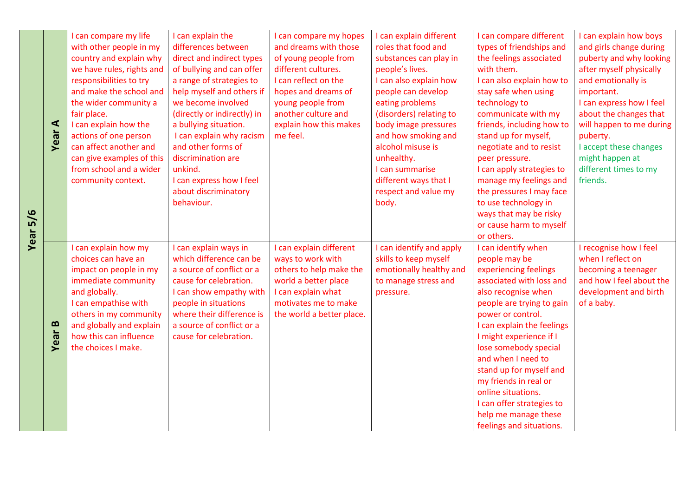|          |      | I can compare my life     | I can explain the           | I can compare my hopes    | I can explain different  | I can compare different    | I can explain how boys   |
|----------|------|---------------------------|-----------------------------|---------------------------|--------------------------|----------------------------|--------------------------|
|          |      | with other people in my   | differences between         | and dreams with those     | roles that food and      | types of friendships and   | and girls change during  |
|          |      | country and explain why   | direct and indirect types   | of young people from      | substances can play in   | the feelings associated    | puberty and why looking  |
|          |      | we have rules, rights and | of bullying and can offer   | different cultures.       | people's lives.          | with them.                 | after myself physically  |
|          |      | responsibilities to try   | a range of strategies to    | I can reflect on the      | I can also explain how   | I can also explain how to  | and emotionally is       |
|          |      | and make the school and   | help myself and others if   | hopes and dreams of       | people can develop       | stay safe when using       | important.               |
|          |      | the wider community a     | we become involved          | young people from         | eating problems          | technology to              | I can express how I feel |
|          |      | fair place.               | (directly or indirectly) in | another culture and       | (disorders) relating to  | communicate with my        | about the changes that   |
|          | ⋖    | I can explain how the     | a bullying situation.       | explain how this makes    | body image pressures     | friends, including how to  | will happen to me during |
|          | Year | actions of one person     | I can explain why racism    | me feel.                  | and how smoking and      | stand up for myself,       | puberty.                 |
|          |      | can affect another and    | and other forms of          |                           | alcohol misuse is        | negotiate and to resist    | I accept these changes   |
|          |      | can give examples of this | discrimination are          |                           | unhealthy.               | peer pressure.             | might happen at          |
|          |      | from school and a wider   | unkind.                     |                           | I can summarise          | I can apply strategies to  | different times to my    |
|          |      | community context.        | I can express how I feel    |                           | different ways that I    | manage my feelings and     | friends.                 |
|          |      |                           | about discriminatory        |                           | respect and value my     | the pressures I may face   |                          |
|          |      |                           | behaviour.                  |                           | body.                    | to use technology in       |                          |
| Year 5/6 |      |                           |                             |                           |                          | ways that may be risky     |                          |
|          |      |                           |                             |                           |                          | or cause harm to myself    |                          |
|          |      |                           |                             |                           |                          | or others.                 |                          |
|          |      | I can explain how my      | I can explain ways in       | I can explain different   | I can identify and apply | I can identify when        | I recognise how I feel   |
|          |      | choices can have an       | which difference can be     | ways to work with         | skills to keep myself    | people may be              | when I reflect on        |
|          |      | impact on people in my    | a source of conflict or a   | others to help make the   | emotionally healthy and  | experiencing feelings      | becoming a teenager      |
|          |      | immediate community       | cause for celebration.      | world a better place      | to manage stress and     | associated with loss and   | and how I feel about the |
|          |      | and globally.             | I can show empathy with     | I can explain what        | pressure.                | also recognise when        | development and birth    |
|          |      | I can empathise with      | people in situations        | motivates me to make      |                          | people are trying to gain  | of a baby.               |
|          |      | others in my community    | where their difference is   | the world a better place. |                          | power or control.          |                          |
|          | œ    | and globally and explain  | a source of conflict or a   |                           |                          | I can explain the feelings |                          |
|          | Year | how this can influence    | cause for celebration.      |                           |                          | I might experience if I    |                          |
|          |      | the choices I make.       |                             |                           |                          | lose somebody special      |                          |
|          |      |                           |                             |                           |                          | and when I need to         |                          |
|          |      |                           |                             |                           |                          | stand up for myself and    |                          |
|          |      |                           |                             |                           |                          | my friends in real or      |                          |
|          |      |                           |                             |                           |                          | online situations.         |                          |
|          |      |                           |                             |                           |                          | I can offer strategies to  |                          |
|          |      |                           |                             |                           |                          | help me manage these       |                          |
|          |      |                           |                             |                           |                          | feelings and situations.   |                          |